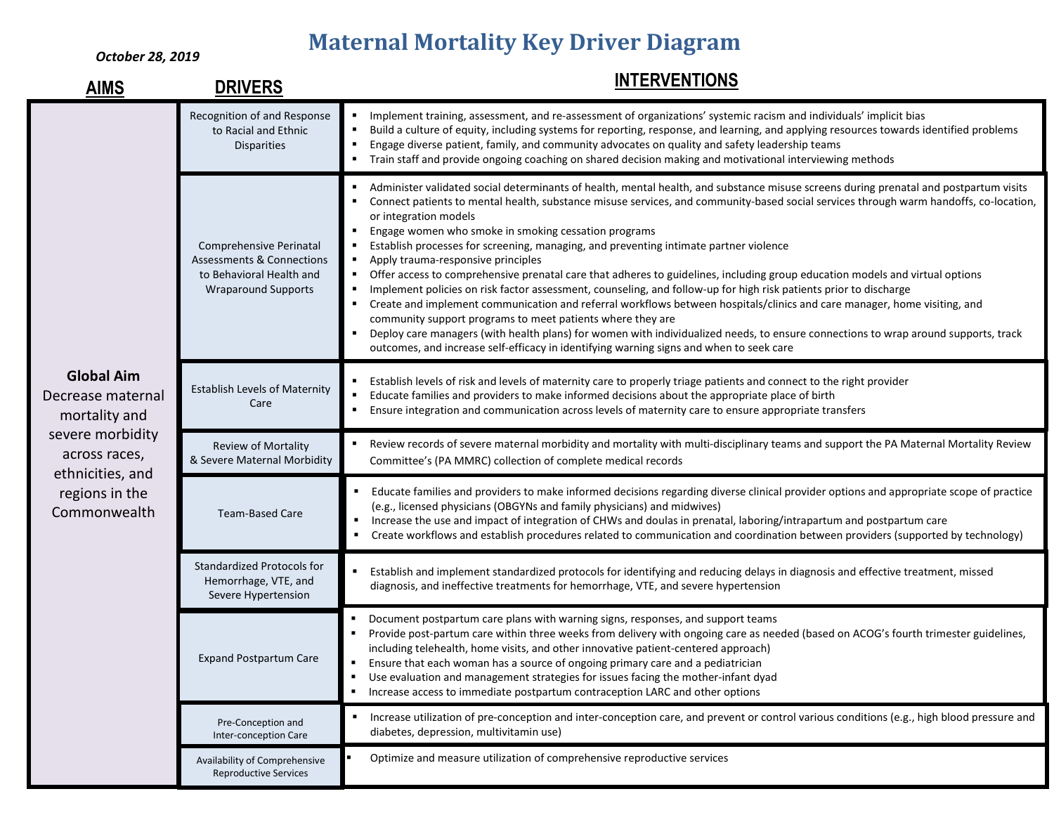## **Maternal Mortality Key Driver Diagram**

*October 28, 2019*

| <b>AIMS</b>                                             | <b>DRIVERS</b>                                                                                                            | <b>INTERVENTIONS</b>                                                                                                                                                                                                                                                                                                                                                                                                                                                                                                                                                                                                                                                                                                                                                                                                                                                                                                                                                                                                                                                                                                                                                           |
|---------------------------------------------------------|---------------------------------------------------------------------------------------------------------------------------|--------------------------------------------------------------------------------------------------------------------------------------------------------------------------------------------------------------------------------------------------------------------------------------------------------------------------------------------------------------------------------------------------------------------------------------------------------------------------------------------------------------------------------------------------------------------------------------------------------------------------------------------------------------------------------------------------------------------------------------------------------------------------------------------------------------------------------------------------------------------------------------------------------------------------------------------------------------------------------------------------------------------------------------------------------------------------------------------------------------------------------------------------------------------------------|
| <b>Global Aim</b><br>Decrease maternal<br>mortality and | Recognition of and Response<br>to Racial and Ethnic<br><b>Disparities</b>                                                 | Implement training, assessment, and re-assessment of organizations' systemic racism and individuals' implicit bias<br>Build a culture of equity, including systems for reporting, response, and learning, and applying resources towards identified problems<br>Engage diverse patient, family, and community advocates on quality and safety leadership teams<br>Train staff and provide ongoing coaching on shared decision making and motivational interviewing methods                                                                                                                                                                                                                                                                                                                                                                                                                                                                                                                                                                                                                                                                                                     |
|                                                         | Comprehensive Perinatal<br><b>Assessments &amp; Connections</b><br>to Behavioral Health and<br><b>Wraparound Supports</b> | Administer validated social determinants of health, mental health, and substance misuse screens during prenatal and postpartum visits<br>Connect patients to mental health, substance misuse services, and community-based social services through warm handoffs, co-location,<br>or integration models<br>Engage women who smoke in smoking cessation programs<br>Establish processes for screening, managing, and preventing intimate partner violence<br>Apply trauma-responsive principles<br>Offer access to comprehensive prenatal care that adheres to guidelines, including group education models and virtual options<br>Implement policies on risk factor assessment, counseling, and follow-up for high risk patients prior to discharge<br>Create and implement communication and referral workflows between hospitals/clinics and care manager, home visiting, and<br>community support programs to meet patients where they are<br>Deploy care managers (with health plans) for women with individualized needs, to ensure connections to wrap around supports, track<br>outcomes, and increase self-efficacy in identifying warning signs and when to seek care |
|                                                         | <b>Establish Levels of Maternity</b><br>Care                                                                              | Establish levels of risk and levels of maternity care to properly triage patients and connect to the right provider<br>Educate families and providers to make informed decisions about the appropriate place of birth<br>$\blacksquare$<br>Ensure integration and communication across levels of maternity care to ensure appropriate transfers                                                                                                                                                                                                                                                                                                                                                                                                                                                                                                                                                                                                                                                                                                                                                                                                                                |
| severe morbidity<br>across races,<br>ethnicities, and   | Review of Mortality<br>& Severe Maternal Morbidity                                                                        | Review records of severe maternal morbidity and mortality with multi-disciplinary teams and support the PA Maternal Mortality Review<br>Committee's (PA MMRC) collection of complete medical records                                                                                                                                                                                                                                                                                                                                                                                                                                                                                                                                                                                                                                                                                                                                                                                                                                                                                                                                                                           |
| regions in the<br>Commonwealth                          | <b>Team-Based Care</b>                                                                                                    | Educate families and providers to make informed decisions regarding diverse clinical provider options and appropriate scope of practice<br>(e.g., licensed physicians (OBGYNs and family physicians) and midwives)<br>Increase the use and impact of integration of CHWs and doulas in prenatal, laboring/intrapartum and postpartum care<br>Create workflows and establish procedures related to communication and coordination between providers (supported by technology)                                                                                                                                                                                                                                                                                                                                                                                                                                                                                                                                                                                                                                                                                                   |
|                                                         | <b>Standardized Protocols for</b><br>Hemorrhage, VTE, and<br>Severe Hypertension                                          | Establish and implement standardized protocols for identifying and reducing delays in diagnosis and effective treatment, missed<br>diagnosis, and ineffective treatments for hemorrhage, VTE, and severe hypertension                                                                                                                                                                                                                                                                                                                                                                                                                                                                                                                                                                                                                                                                                                                                                                                                                                                                                                                                                          |
|                                                         | <b>Expand Postpartum Care</b>                                                                                             | Document postpartum care plans with warning signs, responses, and support teams<br>Provide post-partum care within three weeks from delivery with ongoing care as needed (based on ACOG's fourth trimester guidelines,<br>including telehealth, home visits, and other innovative patient-centered approach)<br>Ensure that each woman has a source of ongoing primary care and a pediatrician<br>٠<br>Use evaluation and management strategies for issues facing the mother-infant dyad<br>Increase access to immediate postpartum contraception LARC and other options<br>٠                                                                                                                                                                                                                                                                                                                                                                                                                                                                                                                                                                                                  |
|                                                         | Pre-Conception and<br>Inter-conception Care                                                                               | Increase utilization of pre-conception and inter-conception care, and prevent or control various conditions (e.g., high blood pressure and<br>diabetes, depression, multivitamin use)                                                                                                                                                                                                                                                                                                                                                                                                                                                                                                                                                                                                                                                                                                                                                                                                                                                                                                                                                                                          |
|                                                         | Availability of Comprehensive<br><b>Reproductive Services</b>                                                             | Optimize and measure utilization of comprehensive reproductive services                                                                                                                                                                                                                                                                                                                                                                                                                                                                                                                                                                                                                                                                                                                                                                                                                                                                                                                                                                                                                                                                                                        |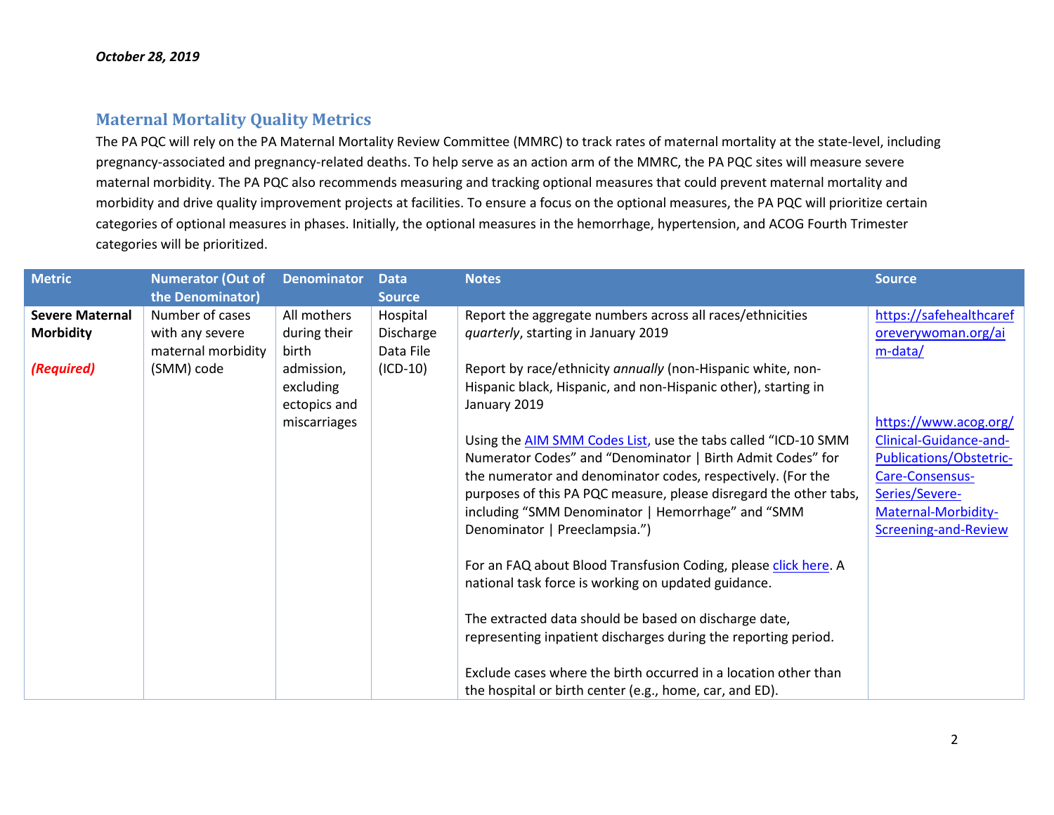### **Maternal Mortality Quality Metrics**

The PA PQC will rely on the PA Maternal Mortality Review Committee (MMRC) to track rates of maternal mortality at the state-level, including pregnancy-associated and pregnancy-related deaths. To help serve as an action arm of the MMRC, the PA PQC sites will measure severe maternal morbidity. The PA PQC also recommends measuring and tracking optional measures that could prevent maternal mortality and morbidity and drive quality improvement projects at facilities. To ensure a focus on the optional measures, the PA PQC will prioritize certain categories of optional measures in phases. Initially, the optional measures in the hemorrhage, hypertension, and ACOG Fourth Trimester categories will be prioritized.

| <b>Metric</b>          | <b>Numerator (Out of</b> | <b>Denominator</b> | <b>Data</b>   | <b>Notes</b>                                                      | <b>Source</b>           |
|------------------------|--------------------------|--------------------|---------------|-------------------------------------------------------------------|-------------------------|
|                        | the Denominator)         |                    | <b>Source</b> |                                                                   |                         |
| <b>Severe Maternal</b> | Number of cases          | All mothers        | Hospital      | Report the aggregate numbers across all races/ethnicities         | https://safehealthcaref |
| <b>Morbidity</b>       | with any severe          | during their       | Discharge     | quarterly, starting in January 2019                               | oreverywoman.org/ai     |
|                        | maternal morbidity       | <b>birth</b>       | Data File     |                                                                   | m-data/                 |
| (Required)             | (SMM) code               | admission,         | $(ICD-10)$    | Report by race/ethnicity annually (non-Hispanic white, non-       |                         |
|                        |                          | excluding          |               | Hispanic black, Hispanic, and non-Hispanic other), starting in    |                         |
|                        |                          | ectopics and       |               | January 2019                                                      |                         |
|                        |                          | miscarriages       |               |                                                                   | https://www.acog.org/   |
|                        |                          |                    |               | Using the AIM SMM Codes List, use the tabs called "ICD-10 SMM     | Clinical-Guidance-and-  |
|                        |                          |                    |               | Numerator Codes" and "Denominator   Birth Admit Codes" for        | Publications/Obstetric- |
|                        |                          |                    |               | the numerator and denominator codes, respectively. (For the       | Care-Consensus-         |
|                        |                          |                    |               | purposes of this PA PQC measure, please disregard the other tabs, | Series/Severe-          |
|                        |                          |                    |               | including "SMM Denominator   Hemorrhage" and "SMM                 | Maternal-Morbidity-     |
|                        |                          |                    |               | Denominator   Preeclampsia.")                                     | Screening-and-Review    |
|                        |                          |                    |               | For an FAQ about Blood Transfusion Coding, please click here. A   |                         |
|                        |                          |                    |               | national task force is working on updated guidance.               |                         |
|                        |                          |                    |               |                                                                   |                         |
|                        |                          |                    |               | The extracted data should be based on discharge date,             |                         |
|                        |                          |                    |               | representing inpatient discharges during the reporting period.    |                         |
|                        |                          |                    |               |                                                                   |                         |
|                        |                          |                    |               | Exclude cases where the birth occurred in a location other than   |                         |
|                        |                          |                    |               | the hospital or birth center (e.g., home, car, and ED).           |                         |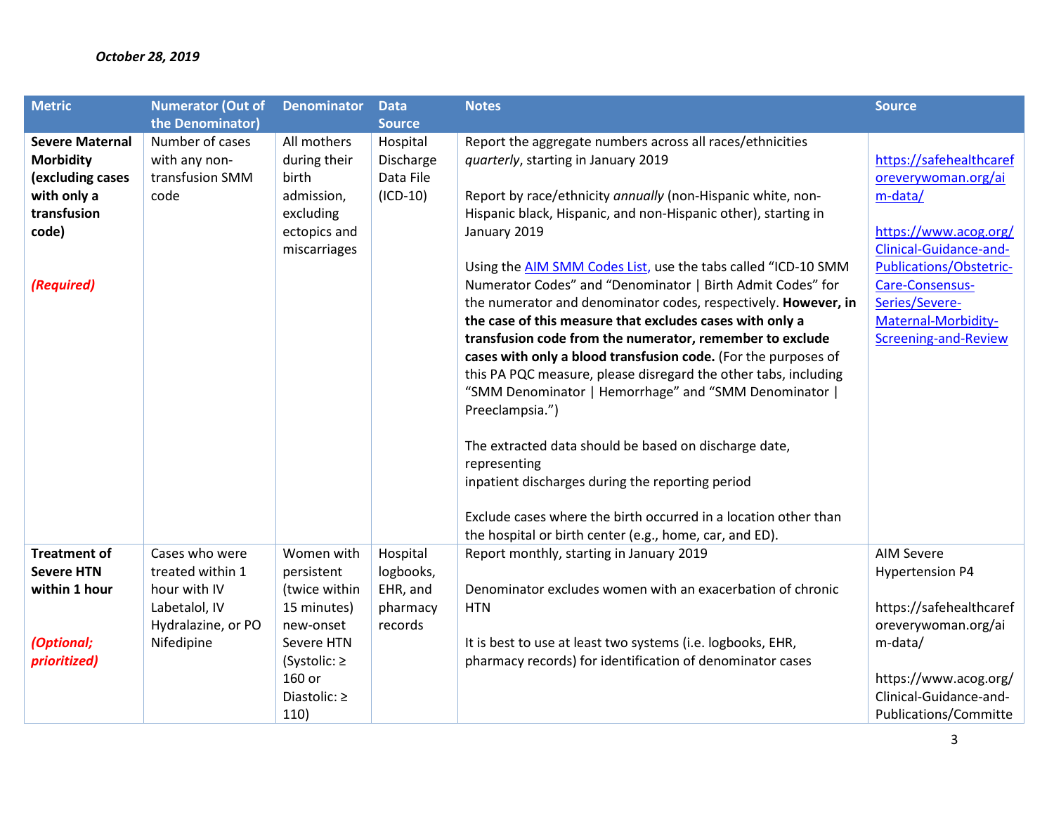### *October 28, 2019*

| <b>Metric</b>          | <b>Numerator (Out of</b> | <b>Denominator</b> | <b>Data</b>   | <b>Notes</b>                                                    | <b>Source</b>           |
|------------------------|--------------------------|--------------------|---------------|-----------------------------------------------------------------|-------------------------|
|                        | the Denominator)         |                    | <b>Source</b> |                                                                 |                         |
| <b>Severe Maternal</b> | Number of cases          | All mothers        | Hospital      | Report the aggregate numbers across all races/ethnicities       |                         |
| <b>Morbidity</b>       | with any non-            | during their       | Discharge     | quarterly, starting in January 2019                             | https://safehealthcaref |
| (excluding cases       | transfusion SMM          | birth              | Data File     |                                                                 | oreverywoman.org/ai     |
| with only a            | code                     | admission,         | $(ICD-10)$    | Report by race/ethnicity annually (non-Hispanic white, non-     | m-data/                 |
| transfusion            |                          | excluding          |               | Hispanic black, Hispanic, and non-Hispanic other), starting in  |                         |
| code)                  |                          | ectopics and       |               | January 2019                                                    | https://www.acog.org/   |
|                        |                          | miscarriages       |               |                                                                 | Clinical-Guidance-and-  |
|                        |                          |                    |               | Using the AIM SMM Codes List, use the tabs called "ICD-10 SMM   | Publications/Obstetric- |
| (Required)             |                          |                    |               | Numerator Codes" and "Denominator   Birth Admit Codes" for      | Care-Consensus-         |
|                        |                          |                    |               | the numerator and denominator codes, respectively. However, in  | Series/Severe-          |
|                        |                          |                    |               | the case of this measure that excludes cases with only a        | Maternal-Morbidity-     |
|                        |                          |                    |               | transfusion code from the numerator, remember to exclude        | Screening-and-Review    |
|                        |                          |                    |               | cases with only a blood transfusion code. (For the purposes of  |                         |
|                        |                          |                    |               | this PA PQC measure, please disregard the other tabs, including |                         |
|                        |                          |                    |               | "SMM Denominator   Hemorrhage" and "SMM Denominator             |                         |
|                        |                          |                    |               | Preeclampsia.")                                                 |                         |
|                        |                          |                    |               | The extracted data should be based on discharge date,           |                         |
|                        |                          |                    |               | representing                                                    |                         |
|                        |                          |                    |               | inpatient discharges during the reporting period                |                         |
|                        |                          |                    |               |                                                                 |                         |
|                        |                          |                    |               | Exclude cases where the birth occurred in a location other than |                         |
|                        |                          |                    |               | the hospital or birth center (e.g., home, car, and ED).         |                         |
| <b>Treatment of</b>    | Cases who were           | Women with         | Hospital      | Report monthly, starting in January 2019                        | <b>AIM Severe</b>       |
| <b>Severe HTN</b>      | treated within 1         | persistent         | logbooks,     |                                                                 | <b>Hypertension P4</b>  |
| within 1 hour          | hour with IV             | (twice within      | EHR, and      | Denominator excludes women with an exacerbation of chronic      |                         |
|                        | Labetalol, IV            | 15 minutes)        | pharmacy      | <b>HTN</b>                                                      | https://safehealthcaref |
|                        | Hydralazine, or PO       | new-onset          | records       |                                                                 | oreverywoman.org/ai     |
| (Optional;             | Nifedipine               | Severe HTN         |               | It is best to use at least two systems (i.e. logbooks, EHR,     | m-data/                 |
| prioritized)           |                          | (Systolic: $\ge$   |               | pharmacy records) for identification of denominator cases       |                         |
|                        |                          | 160 or             |               |                                                                 | https://www.acog.org/   |
|                        |                          | Diastolic: ≥       |               |                                                                 | Clinical-Guidance-and-  |
|                        |                          | 110)               |               |                                                                 | Publications/Committe   |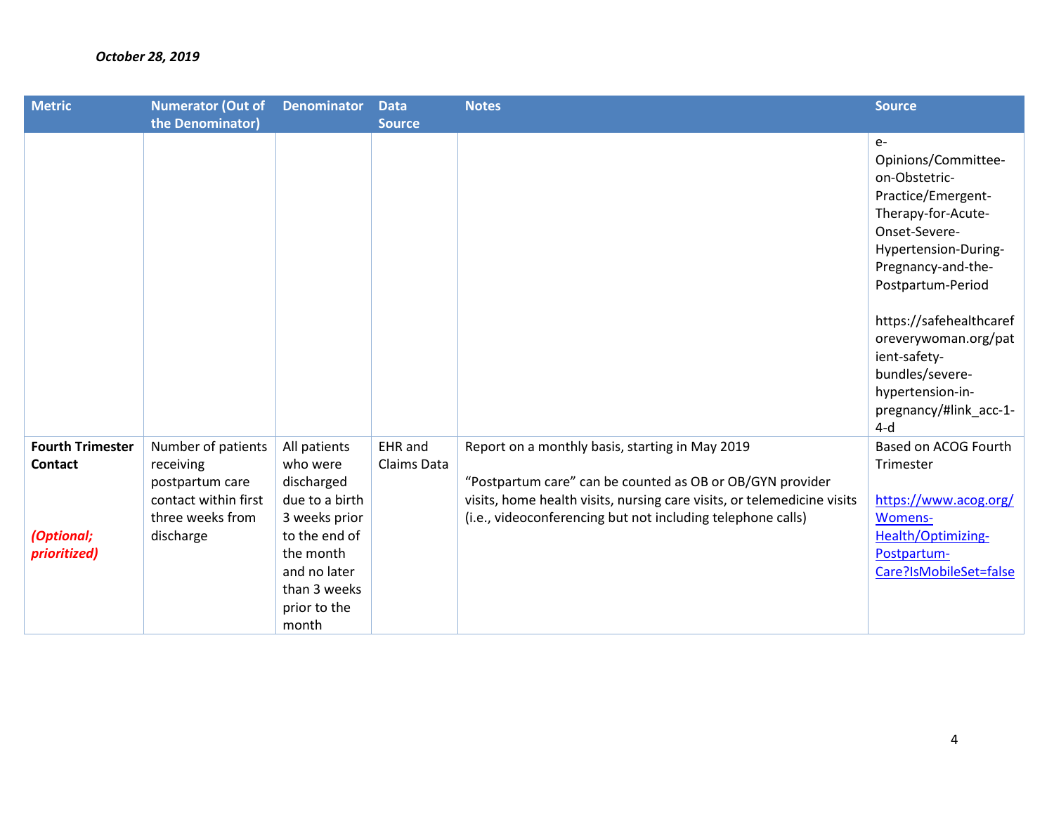| <b>Metric</b>                                                           | <b>Numerator (Out of</b>                                                                                    | <b>Denominator</b>                                                                                                                                               | <b>Data</b>            | <b>Notes</b>                                                                                                                                                                                                                                           | <b>Source</b>                                                                                                                                                                                                                                                                                                             |
|-------------------------------------------------------------------------|-------------------------------------------------------------------------------------------------------------|------------------------------------------------------------------------------------------------------------------------------------------------------------------|------------------------|--------------------------------------------------------------------------------------------------------------------------------------------------------------------------------------------------------------------------------------------------------|---------------------------------------------------------------------------------------------------------------------------------------------------------------------------------------------------------------------------------------------------------------------------------------------------------------------------|
|                                                                         | the Denominator)                                                                                            |                                                                                                                                                                  | <b>Source</b>          |                                                                                                                                                                                                                                                        |                                                                                                                                                                                                                                                                                                                           |
|                                                                         |                                                                                                             |                                                                                                                                                                  |                        |                                                                                                                                                                                                                                                        | $e-$<br>Opinions/Committee-<br>on-Obstetric-<br>Practice/Emergent-<br>Therapy-for-Acute-<br>Onset-Severe-<br>Hypertension-During-<br>Pregnancy-and-the-<br>Postpartum-Period<br>https://safehealthcaref<br>oreverywoman.org/pat<br>ient-safety-<br>bundles/severe-<br>hypertension-in-<br>pregnancy/#link_acc-1-<br>$4-d$ |
| <b>Fourth Trimester</b><br><b>Contact</b><br>(Optional;<br>prioritized) | Number of patients<br>receiving<br>postpartum care<br>contact within first<br>three weeks from<br>discharge | All patients<br>who were<br>discharged<br>due to a birth<br>3 weeks prior<br>to the end of<br>the month<br>and no later<br>than 3 weeks<br>prior to the<br>month | EHR and<br>Claims Data | Report on a monthly basis, starting in May 2019<br>"Postpartum care" can be counted as OB or OB/GYN provider<br>visits, home health visits, nursing care visits, or telemedicine visits<br>(i.e., videoconferencing but not including telephone calls) | Based on ACOG Fourth<br>Trimester<br>https://www.acog.org/<br>Womens-<br>Health/Optimizing-<br>Postpartum-<br>Care?IsMobileSet=false                                                                                                                                                                                      |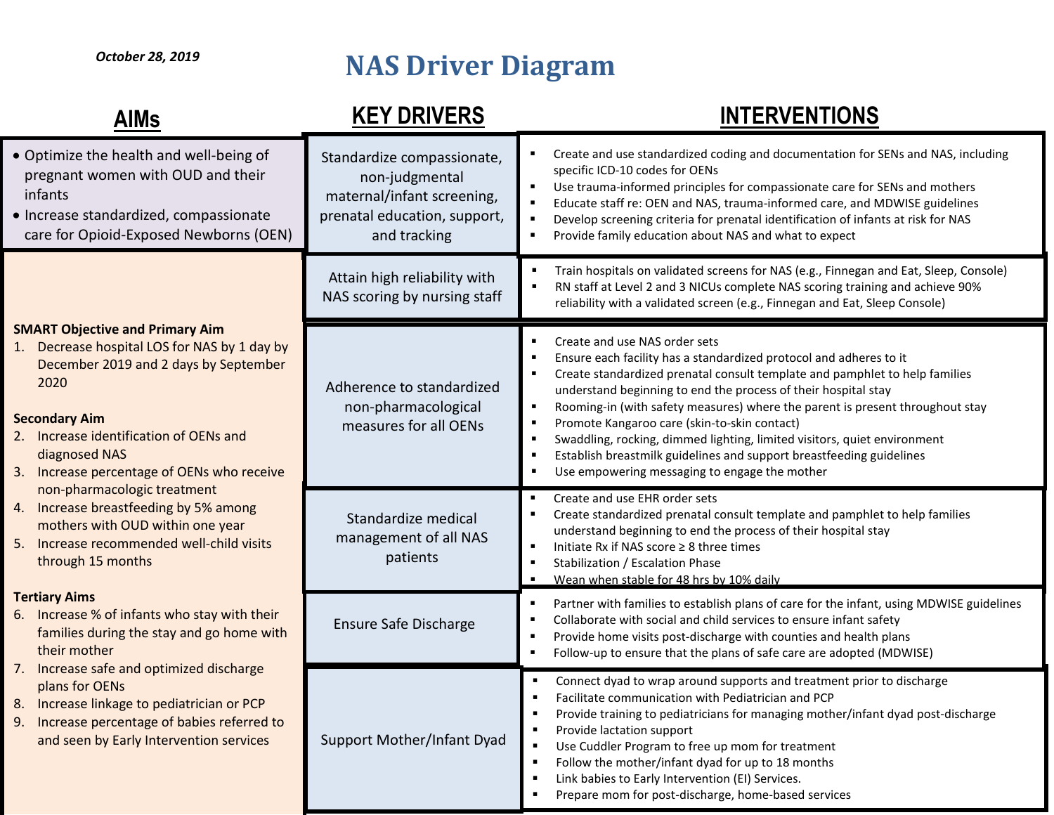# **NAS Driver Diagram**

## **INTERVENTIONS**

| <b>AIMs</b>                                                                                                                                                                                                                                                                                                                                                                                                                                                                                                                                                                                                                                                                                                                                                                                                       | <b>KEY DRIVERS</b>                                                                                                         | <b>INTERVENTIONS</b>                                                                                                                                                                                                                                                                                                                                                                                                                                                                                                                                                                       |
|-------------------------------------------------------------------------------------------------------------------------------------------------------------------------------------------------------------------------------------------------------------------------------------------------------------------------------------------------------------------------------------------------------------------------------------------------------------------------------------------------------------------------------------------------------------------------------------------------------------------------------------------------------------------------------------------------------------------------------------------------------------------------------------------------------------------|----------------------------------------------------------------------------------------------------------------------------|--------------------------------------------------------------------------------------------------------------------------------------------------------------------------------------------------------------------------------------------------------------------------------------------------------------------------------------------------------------------------------------------------------------------------------------------------------------------------------------------------------------------------------------------------------------------------------------------|
| . Optimize the health and well-being of<br>pregnant women with OUD and their<br>infants<br>· Increase standardized, compassionate<br>care for Opioid-Exposed Newborns (OEN)                                                                                                                                                                                                                                                                                                                                                                                                                                                                                                                                                                                                                                       | Standardize compassionate,<br>non-judgmental<br>maternal/infant screening,<br>prenatal education, support,<br>and tracking | Create and use standardized coding and documentation for SENs and NAS, including<br>specific ICD-10 codes for OENs<br>Use trauma-informed principles for compassionate care for SENs and mothers<br>Educate staff re: OEN and NAS, trauma-informed care, and MDWISE guidelines<br>Develop screening criteria for prenatal identification of infants at risk for NAS<br>Provide family education about NAS and what to expect                                                                                                                                                               |
|                                                                                                                                                                                                                                                                                                                                                                                                                                                                                                                                                                                                                                                                                                                                                                                                                   | Attain high reliability with<br>NAS scoring by nursing staff                                                               | Train hospitals on validated screens for NAS (e.g., Finnegan and Eat, Sleep, Console)<br>RN staff at Level 2 and 3 NICUs complete NAS scoring training and achieve 90%<br>reliability with a validated screen (e.g., Finnegan and Eat, Sleep Console)                                                                                                                                                                                                                                                                                                                                      |
| <b>SMART Objective and Primary Aim</b><br>1. Decrease hospital LOS for NAS by 1 day by<br>December 2019 and 2 days by September<br>2020<br><b>Secondary Aim</b><br>2. Increase identification of OENs and<br>diagnosed NAS<br>Increase percentage of OENs who receive<br>3.<br>non-pharmacologic treatment<br>4. Increase breastfeeding by 5% among<br>mothers with OUD within one year<br>5.<br>Increase recommended well-child visits<br>through 15 months<br><b>Tertiary Aims</b><br>6. Increase % of infants who stay with their<br>families during the stay and go home with<br>their mother<br>Increase safe and optimized discharge<br>7.<br>plans for OENs<br>Increase linkage to pediatrician or PCP<br>8.<br>Increase percentage of babies referred to<br>9.<br>and seen by Early Intervention services | Adherence to standardized<br>non-pharmacological<br>measures for all OENs                                                  | Create and use NAS order sets<br>Ensure each facility has a standardized protocol and adheres to it<br>Create standardized prenatal consult template and pamphlet to help families<br>understand beginning to end the process of their hospital stay<br>Rooming-in (with safety measures) where the parent is present throughout stay<br>Promote Kangaroo care (skin-to-skin contact)<br>Swaddling, rocking, dimmed lighting, limited visitors, quiet environment<br>Establish breastmilk guidelines and support breastfeeding guidelines<br>Use empowering messaging to engage the mother |
|                                                                                                                                                                                                                                                                                                                                                                                                                                                                                                                                                                                                                                                                                                                                                                                                                   | Standardize medical<br>management of all NAS<br>patients                                                                   | Create and use EHR order sets<br>Create standardized prenatal consult template and pamphlet to help families<br>understand beginning to end the process of their hospital stay<br>Initiate Rx if NAS score ≥ 8 three times<br>Stabilization / Escalation Phase<br>Wean when stable for 48 hrs by 10% daily                                                                                                                                                                                                                                                                                 |
|                                                                                                                                                                                                                                                                                                                                                                                                                                                                                                                                                                                                                                                                                                                                                                                                                   | <b>Ensure Safe Discharge</b>                                                                                               | Partner with families to establish plans of care for the infant, using MDWISE guidelines<br>Collaborate with social and child services to ensure infant safety<br>Provide home visits post-discharge with counties and health plans<br>Follow-up to ensure that the plans of safe care are adopted (MDWISE)                                                                                                                                                                                                                                                                                |
|                                                                                                                                                                                                                                                                                                                                                                                                                                                                                                                                                                                                                                                                                                                                                                                                                   | Support Mother/Infant Dyad                                                                                                 | Connect dyad to wrap around supports and treatment prior to discharge<br>Facilitate communication with Pediatrician and PCP<br>Provide training to pediatricians for managing mother/infant dyad post-discharge<br>Provide lactation support<br>Use Cuddler Program to free up mom for treatment<br>Follow the mother/infant dyad for up to 18 months<br>Link babies to Early Intervention (EI) Services.<br>Prepare mom for post-discharge, home-based services                                                                                                                           |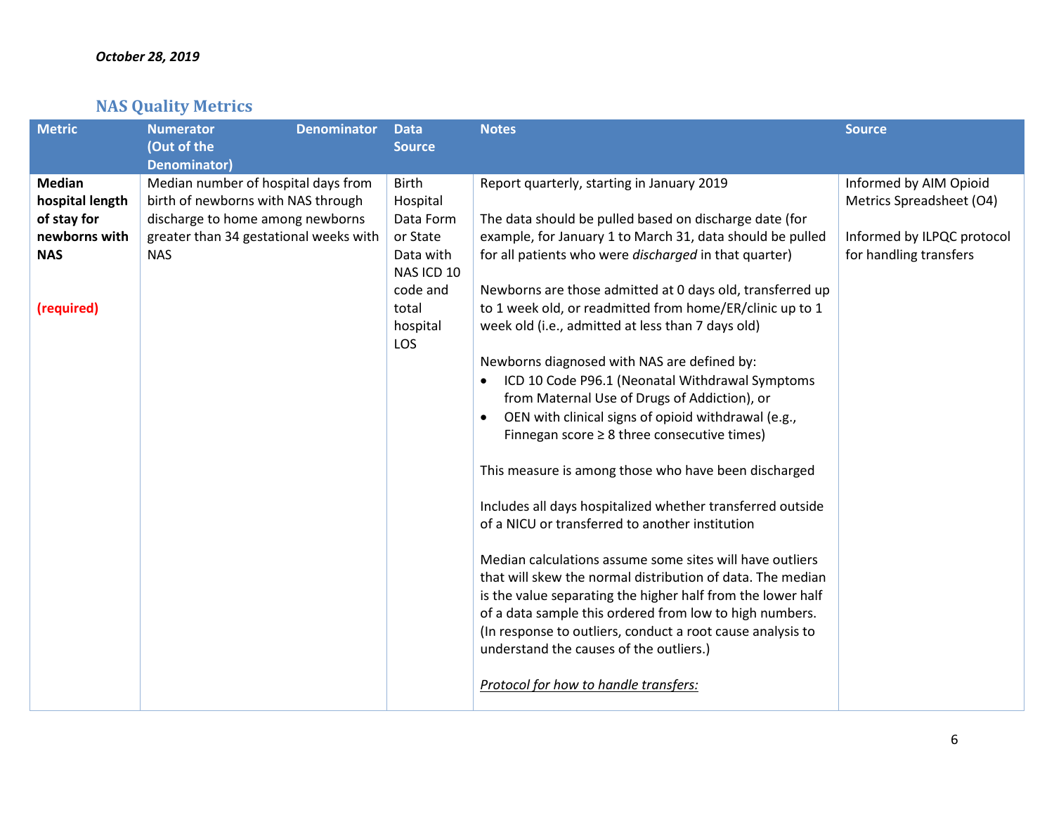## **NAS Quality Metrics**

| <b>Metric</b>                                                                                | <b>Denominator</b><br><b>Numerator</b><br>(Out of the<br><b>Denominator)</b>                                                                                          | <b>Data</b><br><b>Source</b>                                                                                         | <b>Notes</b>                                                                                                                                                                                                                                                                                                                                                                                                                                                                                                                                                                                                                                                                                                                                                                                                                                                                                                                                                                                                                                                                                                                                                                                                                                                      | <b>Source</b>                                                                                              |
|----------------------------------------------------------------------------------------------|-----------------------------------------------------------------------------------------------------------------------------------------------------------------------|----------------------------------------------------------------------------------------------------------------------|-------------------------------------------------------------------------------------------------------------------------------------------------------------------------------------------------------------------------------------------------------------------------------------------------------------------------------------------------------------------------------------------------------------------------------------------------------------------------------------------------------------------------------------------------------------------------------------------------------------------------------------------------------------------------------------------------------------------------------------------------------------------------------------------------------------------------------------------------------------------------------------------------------------------------------------------------------------------------------------------------------------------------------------------------------------------------------------------------------------------------------------------------------------------------------------------------------------------------------------------------------------------|------------------------------------------------------------------------------------------------------------|
| <b>Median</b><br>hospital length<br>of stay for<br>newborns with<br><b>NAS</b><br>(required) | Median number of hospital days from<br>birth of newborns with NAS through<br>discharge to home among newborns<br>greater than 34 gestational weeks with<br><b>NAS</b> | <b>Birth</b><br>Hospital<br>Data Form<br>or State<br>Data with<br>NAS ICD 10<br>code and<br>total<br>hospital<br>LOS | Report quarterly, starting in January 2019<br>The data should be pulled based on discharge date (for<br>example, for January 1 to March 31, data should be pulled<br>for all patients who were discharged in that quarter)<br>Newborns are those admitted at 0 days old, transferred up<br>to 1 week old, or readmitted from home/ER/clinic up to 1<br>week old (i.e., admitted at less than 7 days old)<br>Newborns diagnosed with NAS are defined by:<br>ICD 10 Code P96.1 (Neonatal Withdrawal Symptoms<br>from Maternal Use of Drugs of Addiction), or<br>OEN with clinical signs of opioid withdrawal (e.g.,<br>$\bullet$<br>Finnegan score $\geq 8$ three consecutive times)<br>This measure is among those who have been discharged<br>Includes all days hospitalized whether transferred outside<br>of a NICU or transferred to another institution<br>Median calculations assume some sites will have outliers<br>that will skew the normal distribution of data. The median<br>is the value separating the higher half from the lower half<br>of a data sample this ordered from low to high numbers.<br>(In response to outliers, conduct a root cause analysis to<br>understand the causes of the outliers.)<br>Protocol for how to handle transfers: | Informed by AIM Opioid<br>Metrics Spreadsheet (O4)<br>Informed by ILPQC protocol<br>for handling transfers |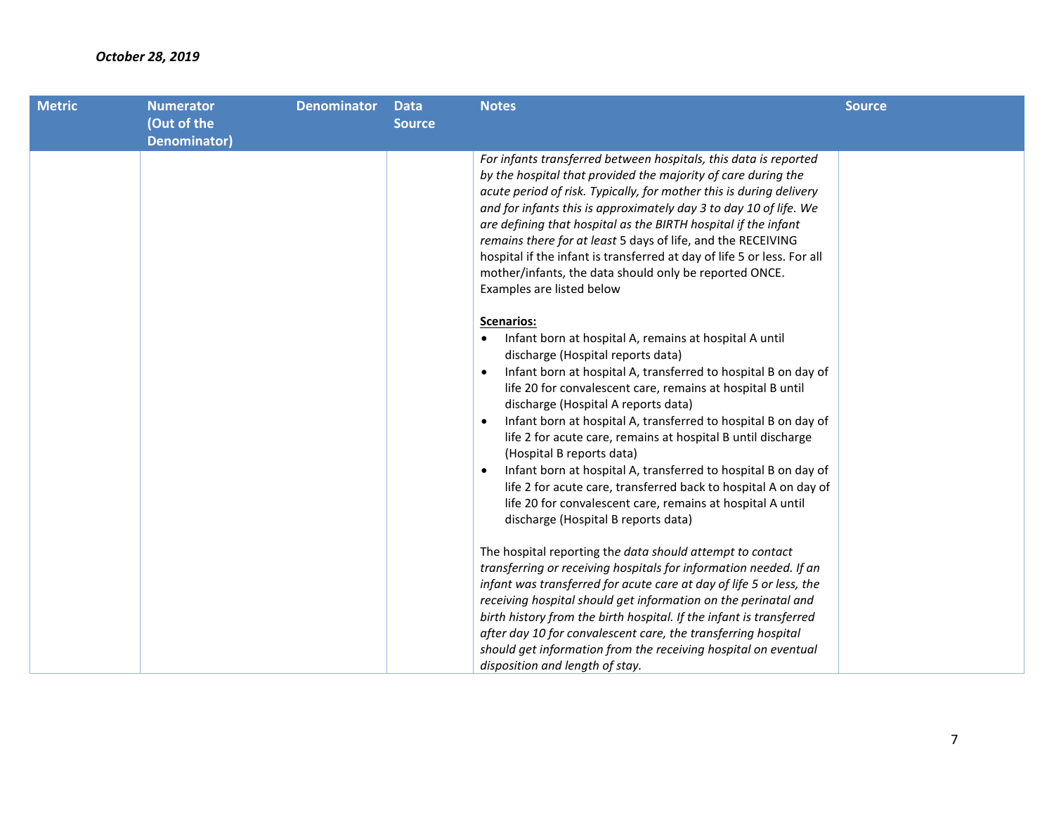| <b>Metric</b> | <b>Numerator</b>                   | <b>Denominator</b> | <b>Data</b>   | <b>Notes</b>                                                                                                                                                                                                                                                                                                                                                                                                                                                                                                                                                                                                                                                                                                                                                                                                                                                                                                                                                                                                                                                                                                                                                                                                                                                                                                                                                                                                                                                                                                                          | <b>Source</b> |
|---------------|------------------------------------|--------------------|---------------|---------------------------------------------------------------------------------------------------------------------------------------------------------------------------------------------------------------------------------------------------------------------------------------------------------------------------------------------------------------------------------------------------------------------------------------------------------------------------------------------------------------------------------------------------------------------------------------------------------------------------------------------------------------------------------------------------------------------------------------------------------------------------------------------------------------------------------------------------------------------------------------------------------------------------------------------------------------------------------------------------------------------------------------------------------------------------------------------------------------------------------------------------------------------------------------------------------------------------------------------------------------------------------------------------------------------------------------------------------------------------------------------------------------------------------------------------------------------------------------------------------------------------------------|---------------|
|               |                                    |                    | <b>Source</b> |                                                                                                                                                                                                                                                                                                                                                                                                                                                                                                                                                                                                                                                                                                                                                                                                                                                                                                                                                                                                                                                                                                                                                                                                                                                                                                                                                                                                                                                                                                                                       |               |
|               | (Out of the<br><b>Denominator)</b> |                    |               | For infants transferred between hospitals, this data is reported<br>by the hospital that provided the majority of care during the<br>acute period of risk. Typically, for mother this is during delivery<br>and for infants this is approximately day 3 to day 10 of life. We<br>are defining that hospital as the BIRTH hospital if the infant<br>remains there for at least 5 days of life, and the RECEIVING<br>hospital if the infant is transferred at day of life 5 or less. For all<br>mother/infants, the data should only be reported ONCE.<br>Examples are listed below<br><b>Scenarios:</b><br>Infant born at hospital A, remains at hospital A until<br>discharge (Hospital reports data)<br>Infant born at hospital A, transferred to hospital B on day of<br>$\bullet$<br>life 20 for convalescent care, remains at hospital B until<br>discharge (Hospital A reports data)<br>Infant born at hospital A, transferred to hospital B on day of<br>$\bullet$<br>life 2 for acute care, remains at hospital B until discharge<br>(Hospital B reports data)<br>Infant born at hospital A, transferred to hospital B on day of<br>$\bullet$<br>life 2 for acute care, transferred back to hospital A on day of<br>life 20 for convalescent care, remains at hospital A until<br>discharge (Hospital B reports data)<br>The hospital reporting the data should attempt to contact<br>transferring or receiving hospitals for information needed. If an<br>infant was transferred for acute care at day of life 5 or less, the |               |
|               |                                    |                    |               | receiving hospital should get information on the perinatal and<br>birth history from the birth hospital. If the infant is transferred                                                                                                                                                                                                                                                                                                                                                                                                                                                                                                                                                                                                                                                                                                                                                                                                                                                                                                                                                                                                                                                                                                                                                                                                                                                                                                                                                                                                 |               |
|               |                                    |                    |               | after day 10 for convalescent care, the transferring hospital<br>should get information from the receiving hospital on eventual                                                                                                                                                                                                                                                                                                                                                                                                                                                                                                                                                                                                                                                                                                                                                                                                                                                                                                                                                                                                                                                                                                                                                                                                                                                                                                                                                                                                       |               |
|               |                                    |                    |               | disposition and length of stay.                                                                                                                                                                                                                                                                                                                                                                                                                                                                                                                                                                                                                                                                                                                                                                                                                                                                                                                                                                                                                                                                                                                                                                                                                                                                                                                                                                                                                                                                                                       |               |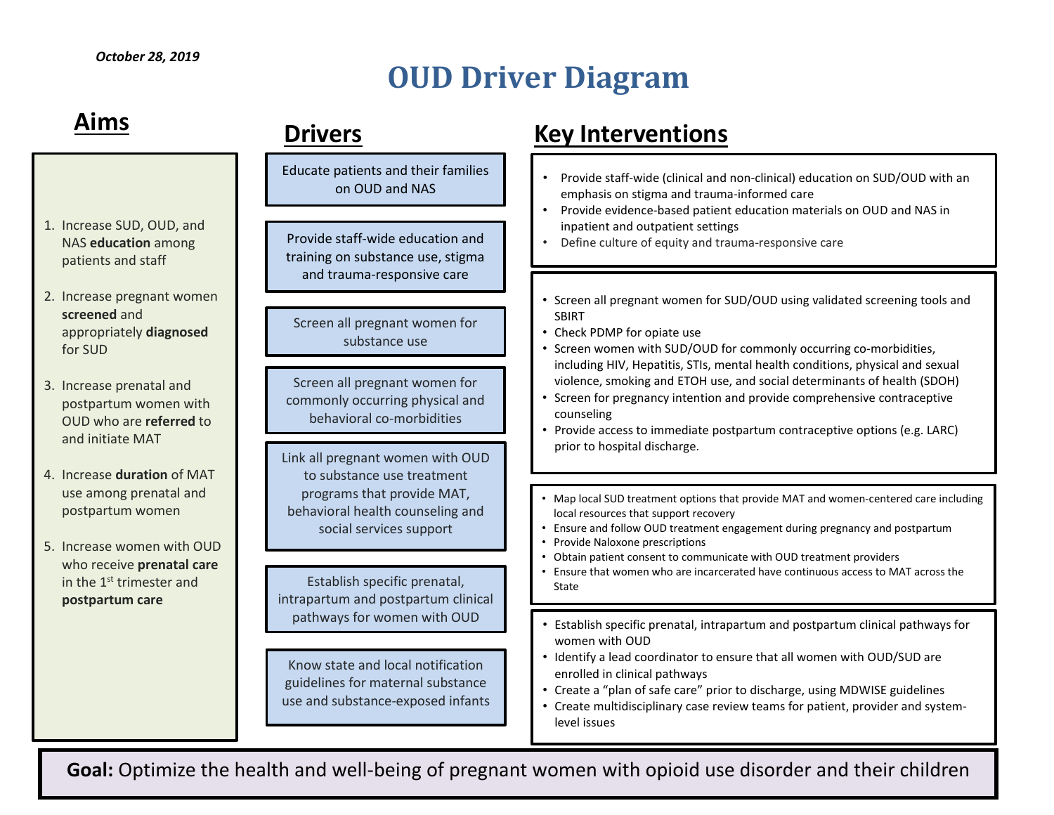# **OUD Driver Diagram**

| Aims                                                                                                               | <b>Drivers</b>                                                                                              | <b>Key Interventions</b>                                                                                                                                                                                                                                                                                                        |  |  |  |
|--------------------------------------------------------------------------------------------------------------------|-------------------------------------------------------------------------------------------------------------|---------------------------------------------------------------------------------------------------------------------------------------------------------------------------------------------------------------------------------------------------------------------------------------------------------------------------------|--|--|--|
|                                                                                                                    | Educate patients and their families<br>on OUD and NAS                                                       | Provide staff-wide (clinical and non-clinical) education on SUD/OUD with an<br>emphasis on stigma and trauma-informed care<br>Provide evidence-based patient education materials on OUD and NAS in<br>$\bullet$                                                                                                                 |  |  |  |
| 1. Increase SUD, OUD, and<br>NAS education among<br>patients and staff                                             | Provide staff-wide education and<br>training on substance use, stigma<br>and trauma-responsive care         | inpatient and outpatient settings<br>Define culture of equity and trauma-responsive care                                                                                                                                                                                                                                        |  |  |  |
| 2. Increase pregnant women<br>screened and<br>appropriately diagnosed<br>for SUD                                   | Screen all pregnant women for<br>substance use                                                              | • Screen all pregnant women for SUD/OUD using validated screening tools and<br><b>SBIRT</b><br>• Check PDMP for opiate use<br>• Screen women with SUD/OUD for commonly occurring co-morbidities,                                                                                                                                |  |  |  |
| 3. Increase prenatal and<br>postpartum women with<br>OUD who are referred to<br>and initiate MAT                   | Screen all pregnant women for<br>commonly occurring physical and<br>behavioral co-morbidities               | including HIV, Hepatitis, STIs, mental health conditions, physical and sexual<br>violence, smoking and ETOH use, and social determinants of health (SDOH)<br>Screen for pregnancy intention and provide comprehensive contraceptive<br>counseling<br>• Provide access to immediate postpartum contraceptive options (e.g. LARC) |  |  |  |
| 4. Increase duration of MAT                                                                                        | Link all pregnant women with OUD<br>to substance use treatment                                              | prior to hospital discharge.                                                                                                                                                                                                                                                                                                    |  |  |  |
| use among prenatal and<br>postpartum women                                                                         | programs that provide MAT,<br>behavioral health counseling and<br>social services support                   | Map local SUD treatment options that provide MAT and women-centered care including<br>local resources that support recovery<br>• Ensure and follow OUD treatment engagement during pregnancy and postpartum                                                                                                                     |  |  |  |
| 5. Increase women with OUD<br>who receive prenatal care<br>in the 1 <sup>st</sup> trimester and<br>postpartum care | Establish specific prenatal,                                                                                | Provide Naloxone prescriptions<br>Obtain patient consent to communicate with OUD treatment providers<br>Ensure that women who are incarcerated have continuous access to MAT across the<br>State                                                                                                                                |  |  |  |
|                                                                                                                    | intrapartum and postpartum clinical<br>pathways for women with OUD                                          | Establish specific prenatal, intrapartum and postpartum clinical pathways for                                                                                                                                                                                                                                                   |  |  |  |
|                                                                                                                    | Know state and local notification<br>guidelines for maternal substance<br>use and substance-exposed infants | women with OUD<br>• Identify a lead coordinator to ensure that all women with OUD/SUD are<br>enrolled in clinical pathways<br>• Create a "plan of safe care" prior to discharge, using MDWISE guidelines<br>• Create multidisciplinary case review teams for patient, provider and system-<br>level issues                      |  |  |  |
|                                                                                                                    |                                                                                                             |                                                                                                                                                                                                                                                                                                                                 |  |  |  |

**Goal:** Optimize the health and well-being of pregnant women with opioid use disorder and their children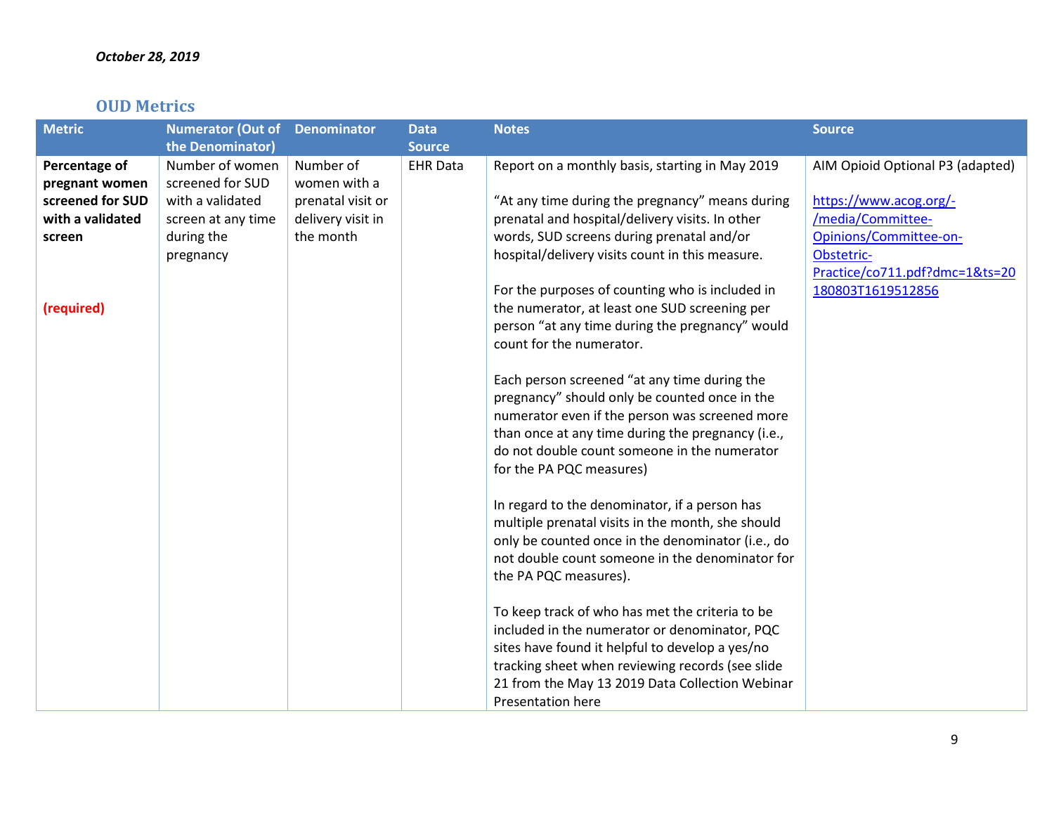## **OUD Metrics**

| <b>Metric</b>    | <b>Numerator (Out of</b> | <b>Denominator</b> | <b>Data</b>     | <b>Notes</b>                                                                                    | <b>Source</b>                    |
|------------------|--------------------------|--------------------|-----------------|-------------------------------------------------------------------------------------------------|----------------------------------|
|                  | the Denominator)         |                    | <b>Source</b>   |                                                                                                 |                                  |
| Percentage of    | Number of women          | Number of          | <b>EHR Data</b> | Report on a monthly basis, starting in May 2019                                                 | AIM Opioid Optional P3 (adapted) |
| pregnant women   | screened for SUD         | women with a       |                 |                                                                                                 |                                  |
| screened for SUD | with a validated         | prenatal visit or  |                 | "At any time during the pregnancy" means during                                                 | https://www.acog.org/-           |
| with a validated | screen at any time       | delivery visit in  |                 | prenatal and hospital/delivery visits. In other                                                 | /media/Committee-                |
| screen           | during the               | the month          |                 | words, SUD screens during prenatal and/or                                                       | Opinions/Committee-on-           |
|                  | pregnancy                |                    |                 | hospital/delivery visits count in this measure.                                                 | Obstetric-                       |
|                  |                          |                    |                 |                                                                                                 | Practice/co711.pdf?dmc=1&ts=20   |
|                  |                          |                    |                 | For the purposes of counting who is included in                                                 | 180803T1619512856                |
| (required)       |                          |                    |                 | the numerator, at least one SUD screening per                                                   |                                  |
|                  |                          |                    |                 | person "at any time during the pregnancy" would                                                 |                                  |
|                  |                          |                    |                 | count for the numerator.                                                                        |                                  |
|                  |                          |                    |                 |                                                                                                 |                                  |
|                  |                          |                    |                 | Each person screened "at any time during the                                                    |                                  |
|                  |                          |                    |                 | pregnancy" should only be counted once in the<br>numerator even if the person was screened more |                                  |
|                  |                          |                    |                 | than once at any time during the pregnancy (i.e.,                                               |                                  |
|                  |                          |                    |                 | do not double count someone in the numerator                                                    |                                  |
|                  |                          |                    |                 | for the PA PQC measures)                                                                        |                                  |
|                  |                          |                    |                 |                                                                                                 |                                  |
|                  |                          |                    |                 | In regard to the denominator, if a person has                                                   |                                  |
|                  |                          |                    |                 | multiple prenatal visits in the month, she should                                               |                                  |
|                  |                          |                    |                 | only be counted once in the denominator (i.e., do                                               |                                  |
|                  |                          |                    |                 | not double count someone in the denominator for                                                 |                                  |
|                  |                          |                    |                 | the PA PQC measures).                                                                           |                                  |
|                  |                          |                    |                 |                                                                                                 |                                  |
|                  |                          |                    |                 | To keep track of who has met the criteria to be                                                 |                                  |
|                  |                          |                    |                 | included in the numerator or denominator, PQC                                                   |                                  |
|                  |                          |                    |                 | sites have found it helpful to develop a yes/no                                                 |                                  |
|                  |                          |                    |                 | tracking sheet when reviewing records (see slide                                                |                                  |
|                  |                          |                    |                 | 21 from the May 13 2019 Data Collection Webinar                                                 |                                  |
|                  |                          |                    |                 | Presentation here                                                                               |                                  |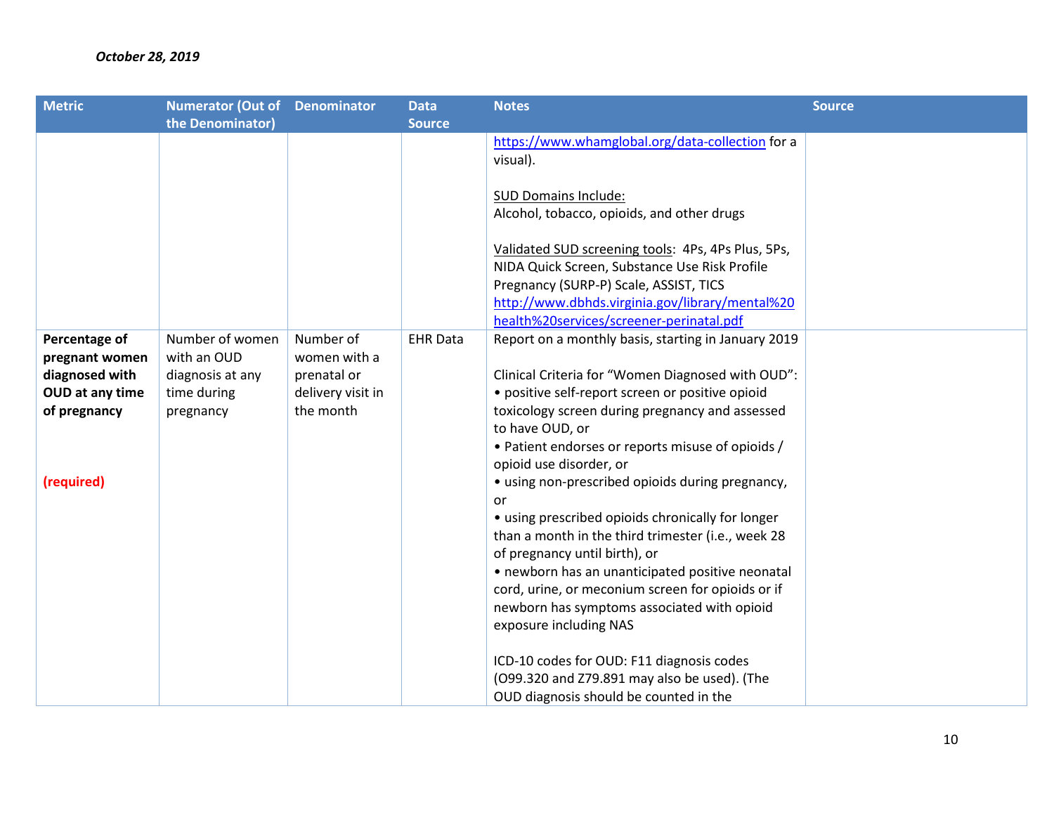| <b>Metric</b>   | <b>Numerator (Out of Denominator</b> |                   | <b>Data</b>     | <b>Notes</b>                                        | <b>Source</b> |
|-----------------|--------------------------------------|-------------------|-----------------|-----------------------------------------------------|---------------|
|                 | the Denominator)                     |                   | <b>Source</b>   |                                                     |               |
|                 |                                      |                   |                 | https://www.whamglobal.org/data-collection for a    |               |
|                 |                                      |                   |                 | visual).                                            |               |
|                 |                                      |                   |                 |                                                     |               |
|                 |                                      |                   |                 | <b>SUD Domains Include:</b>                         |               |
|                 |                                      |                   |                 | Alcohol, tobacco, opioids, and other drugs          |               |
|                 |                                      |                   |                 |                                                     |               |
|                 |                                      |                   |                 | Validated SUD screening tools: 4Ps, 4Ps Plus, 5Ps,  |               |
|                 |                                      |                   |                 | NIDA Quick Screen, Substance Use Risk Profile       |               |
|                 |                                      |                   |                 | Pregnancy (SURP-P) Scale, ASSIST, TICS              |               |
|                 |                                      |                   |                 | http://www.dbhds.virginia.gov/library/mental%20     |               |
|                 |                                      |                   |                 | health%20services/screener-perinatal.pdf            |               |
| Percentage of   | Number of women                      | Number of         | <b>EHR Data</b> | Report on a monthly basis, starting in January 2019 |               |
| pregnant women  | with an OUD                          | women with a      |                 |                                                     |               |
| diagnosed with  | diagnosis at any                     | prenatal or       |                 | Clinical Criteria for "Women Diagnosed with OUD":   |               |
| OUD at any time | time during                          | delivery visit in |                 | • positive self-report screen or positive opioid    |               |
| of pregnancy    | pregnancy                            | the month         |                 | toxicology screen during pregnancy and assessed     |               |
|                 |                                      |                   |                 | to have OUD, or                                     |               |
|                 |                                      |                   |                 | • Patient endorses or reports misuse of opioids /   |               |
|                 |                                      |                   |                 | opioid use disorder, or                             |               |
| (required)      |                                      |                   |                 | • using non-prescribed opioids during pregnancy,    |               |
|                 |                                      |                   |                 | or                                                  |               |
|                 |                                      |                   |                 | • using prescribed opioids chronically for longer   |               |
|                 |                                      |                   |                 | than a month in the third trimester (i.e., week 28  |               |
|                 |                                      |                   |                 | of pregnancy until birth), or                       |               |
|                 |                                      |                   |                 | • newborn has an unanticipated positive neonatal    |               |
|                 |                                      |                   |                 | cord, urine, or meconium screen for opioids or if   |               |
|                 |                                      |                   |                 | newborn has symptoms associated with opioid         |               |
|                 |                                      |                   |                 | exposure including NAS                              |               |
|                 |                                      |                   |                 |                                                     |               |
|                 |                                      |                   |                 | ICD-10 codes for OUD: F11 diagnosis codes           |               |
|                 |                                      |                   |                 | (O99.320 and Z79.891 may also be used). (The        |               |
|                 |                                      |                   |                 | OUD diagnosis should be counted in the              |               |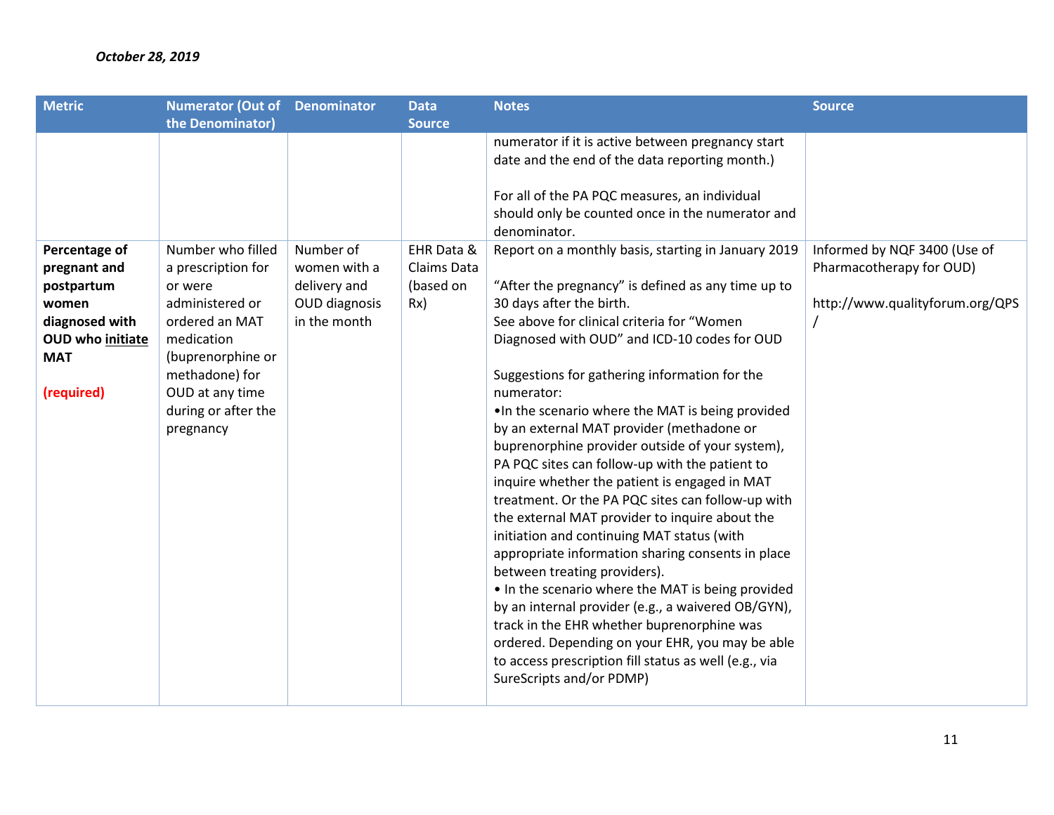| <b>Metric</b>    | <b>Numerator (Out of Denominator</b> |               | <b>Data</b>   | <b>Notes</b>                                                                                                      | <b>Source</b>                   |
|------------------|--------------------------------------|---------------|---------------|-------------------------------------------------------------------------------------------------------------------|---------------------------------|
|                  | the Denominator)                     |               | <b>Source</b> |                                                                                                                   |                                 |
|                  |                                      |               |               | numerator if it is active between pregnancy start                                                                 |                                 |
|                  |                                      |               |               | date and the end of the data reporting month.)                                                                    |                                 |
|                  |                                      |               |               | For all of the PA PQC measures, an individual<br>should only be counted once in the numerator and<br>denominator. |                                 |
| Percentage of    | Number who filled                    | Number of     | EHR Data &    | Report on a monthly basis, starting in January 2019                                                               | Informed by NQF 3400 (Use of    |
| pregnant and     | a prescription for                   | women with a  | Claims Data   |                                                                                                                   | Pharmacotherapy for OUD)        |
| postpartum       | or were                              | delivery and  | (based on     | "After the pregnancy" is defined as any time up to                                                                |                                 |
| women            | administered or                      | OUD diagnosis | Rx)           | 30 days after the birth.                                                                                          | http://www.qualityforum.org/QPS |
| diagnosed with   | ordered an MAT                       | in the month  |               | See above for clinical criteria for "Women                                                                        |                                 |
| OUD who initiate | medication                           |               |               | Diagnosed with OUD" and ICD-10 codes for OUD                                                                      |                                 |
| <b>MAT</b>       | (buprenorphine or                    |               |               |                                                                                                                   |                                 |
|                  | methadone) for                       |               |               | Suggestions for gathering information for the                                                                     |                                 |
| (required)       | OUD at any time                      |               |               | numerator:                                                                                                        |                                 |
|                  | during or after the                  |               |               | . In the scenario where the MAT is being provided                                                                 |                                 |
|                  | pregnancy                            |               |               | by an external MAT provider (methadone or                                                                         |                                 |
|                  |                                      |               |               | buprenorphine provider outside of your system),                                                                   |                                 |
|                  |                                      |               |               | PA PQC sites can follow-up with the patient to                                                                    |                                 |
|                  |                                      |               |               | inquire whether the patient is engaged in MAT                                                                     |                                 |
|                  |                                      |               |               | treatment. Or the PA PQC sites can follow-up with                                                                 |                                 |
|                  |                                      |               |               | the external MAT provider to inquire about the                                                                    |                                 |
|                  |                                      |               |               | initiation and continuing MAT status (with                                                                        |                                 |
|                  |                                      |               |               | appropriate information sharing consents in place                                                                 |                                 |
|                  |                                      |               |               | between treating providers).                                                                                      |                                 |
|                  |                                      |               |               |                                                                                                                   |                                 |
|                  |                                      |               |               | . In the scenario where the MAT is being provided                                                                 |                                 |
|                  |                                      |               |               | by an internal provider (e.g., a waivered OB/GYN),                                                                |                                 |
|                  |                                      |               |               | track in the EHR whether buprenorphine was                                                                        |                                 |
|                  |                                      |               |               | ordered. Depending on your EHR, you may be able                                                                   |                                 |
|                  |                                      |               |               | to access prescription fill status as well (e.g., via                                                             |                                 |
|                  |                                      |               |               | SureScripts and/or PDMP)                                                                                          |                                 |
|                  |                                      |               |               |                                                                                                                   |                                 |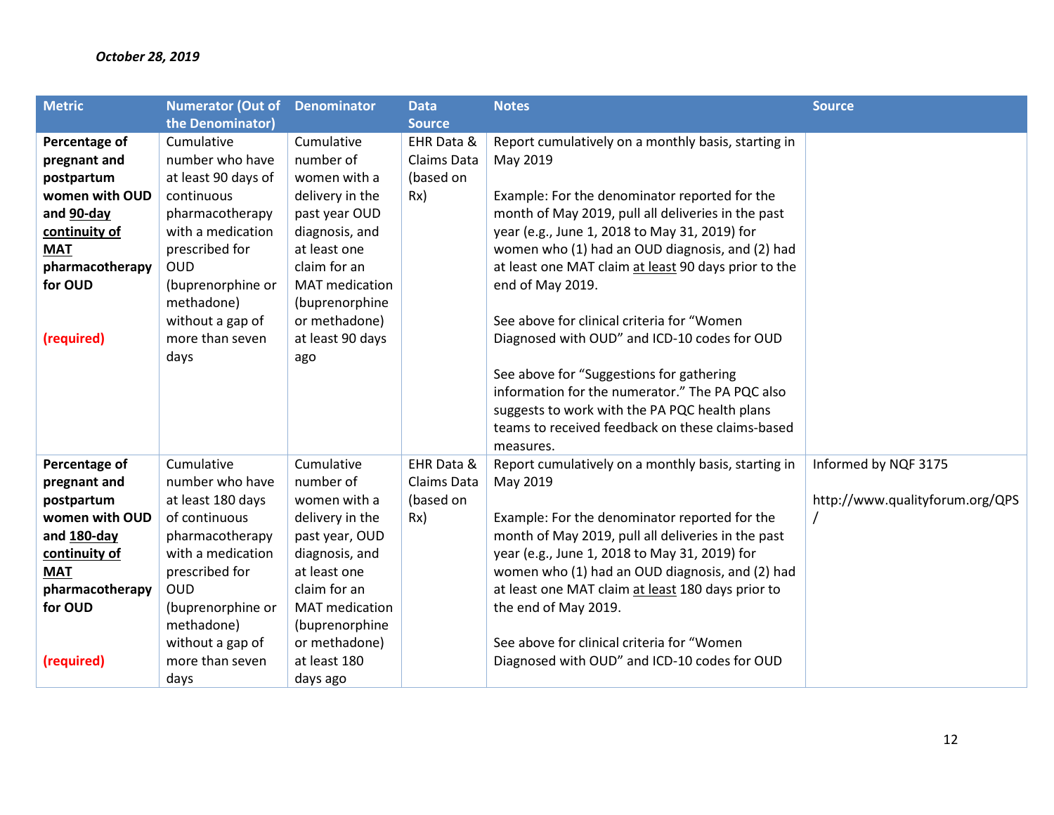| <b>Metric</b>   | <b>Numerator (Out of Denominator</b> |                       | <b>Data</b>   | <b>Notes</b>                                         | <b>Source</b>                   |
|-----------------|--------------------------------------|-----------------------|---------------|------------------------------------------------------|---------------------------------|
|                 | the Denominator)                     |                       | <b>Source</b> |                                                      |                                 |
| Percentage of   | Cumulative                           | Cumulative            | EHR Data &    | Report cumulatively on a monthly basis, starting in  |                                 |
| pregnant and    | number who have                      | number of             | Claims Data   | May 2019                                             |                                 |
| postpartum      | at least 90 days of                  | women with a          | (based on     |                                                      |                                 |
| women with OUD  | continuous                           | delivery in the       | Rx)           | Example: For the denominator reported for the        |                                 |
| and 90-day      | pharmacotherapy                      | past year OUD         |               | month of May 2019, pull all deliveries in the past   |                                 |
| continuity of   | with a medication                    | diagnosis, and        |               | year (e.g., June 1, 2018 to May 31, 2019) for        |                                 |
| <b>MAT</b>      | prescribed for                       | at least one          |               | women who (1) had an OUD diagnosis, and (2) had      |                                 |
| pharmacotherapy | <b>OUD</b>                           | claim for an          |               | at least one MAT claim at least 90 days prior to the |                                 |
| for OUD         | (buprenorphine or                    | <b>MAT</b> medication |               | end of May 2019.                                     |                                 |
|                 | methadone)                           | (buprenorphine        |               |                                                      |                                 |
|                 | without a gap of                     | or methadone)         |               | See above for clinical criteria for "Women"          |                                 |
| (required)      | more than seven                      | at least 90 days      |               | Diagnosed with OUD" and ICD-10 codes for OUD         |                                 |
|                 | days                                 | ago                   |               |                                                      |                                 |
|                 |                                      |                       |               | See above for "Suggestions for gathering             |                                 |
|                 |                                      |                       |               | information for the numerator." The PA PQC also      |                                 |
|                 |                                      |                       |               | suggests to work with the PA PQC health plans        |                                 |
|                 |                                      |                       |               | teams to received feedback on these claims-based     |                                 |
|                 |                                      |                       |               | measures.                                            |                                 |
| Percentage of   | Cumulative                           | Cumulative            | EHR Data &    | Report cumulatively on a monthly basis, starting in  | Informed by NQF 3175            |
| pregnant and    | number who have                      | number of             | Claims Data   | May 2019                                             |                                 |
| postpartum      | at least 180 days                    | women with a          | (based on     |                                                      | http://www.qualityforum.org/QPS |
| women with OUD  | of continuous                        | delivery in the       | Rx)           | Example: For the denominator reported for the        |                                 |
| and 180-day     | pharmacotherapy                      | past year, OUD        |               | month of May 2019, pull all deliveries in the past   |                                 |
| continuity of   | with a medication                    | diagnosis, and        |               | year (e.g., June 1, 2018 to May 31, 2019) for        |                                 |
| <b>MAT</b>      | prescribed for                       | at least one          |               | women who (1) had an OUD diagnosis, and (2) had      |                                 |
| pharmacotherapy | <b>OUD</b>                           | claim for an          |               | at least one MAT claim at least 180 days prior to    |                                 |
| for OUD         | (buprenorphine or                    | <b>MAT</b> medication |               | the end of May 2019.                                 |                                 |
|                 | methadone)                           | (buprenorphine        |               |                                                      |                                 |
|                 | without a gap of                     | or methadone)         |               | See above for clinical criteria for "Women           |                                 |
| (required)      | more than seven                      | at least 180          |               | Diagnosed with OUD" and ICD-10 codes for OUD         |                                 |
|                 | days                                 | days ago              |               |                                                      |                                 |